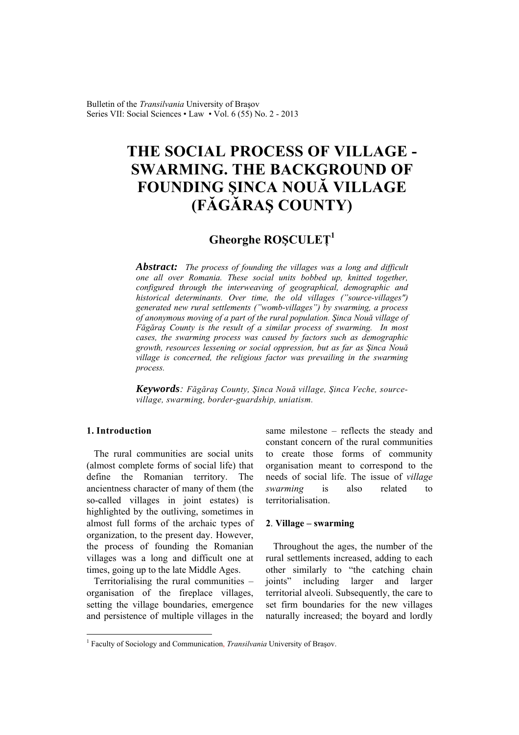Bulletin of the *Transilvania* University of Braşov Series VII: Social Sciences • Law • Vol. 6 (55) No. 2 - 2013

# **THE SOCIAL PROCESS OF VILLAGE - SWARMING. THE BACKGROUND OF FOUNDING ŞINCA NOUĂ VILLAGE (FĂGĂRAŞ COUNTY)**

## **Gheorghe ROŞCULEŢ<sup>1</sup>**

*Abstract: The process of founding the villages was a long and difficult one all over Romania. These social units bobbed up, knitted together, configured through the interweaving of geographical, demographic and historical determinants. Over time, the old villages ("source-villages") generated new rural settlements ("womb-villages") by swarming, a process of anonymous moving of a part of the rural population. Şinca Nouă village of Făgăraş County is the result of a similar process of swarming. In most cases, the swarming process was caused by factors such as demographic growth, resources lessening or social oppression, but as far as Şinca Nouă village is concerned, the religious factor was prevailing in the swarming process.*

*Keywords: Făgăraş County, Şinca Nouă village, Şinca Veche, sourcevillage, swarming, border-guardship, uniatism.*

## **1. Introduction**

 $\overline{a}$ 

The rural communities are social units (almost complete forms of social life) that define the Romanian territory. The ancientness character of many of them (the so-called villages in joint estates) is highlighted by the outliving, sometimes in almost full forms of the archaic types of organization, to the present day. However, the process of founding the Romanian villages was a long and difficult one at times, going up to the late Middle Ages.

Territorialising the rural communities – organisation of the fireplace villages, setting the village boundaries, emergence and persistence of multiple villages in the same milestone – reflects the steady and constant concern of the rural communities to create those forms of community organisation meant to correspond to the needs of social life. The issue of *village swarming* is also related to territorialisation.

### **2**. **Village – swarming**

Throughout the ages, the number of the rural settlements increased, adding to each other similarly to "the catching chain joints" including larger and larger territorial alveoli. Subsequently, the care to set firm boundaries for the new villages naturally increased; the boyard and lordly

<sup>&</sup>lt;sup>1</sup> Faculty of Sociology and Communication, *Transilvania* University of Brașov.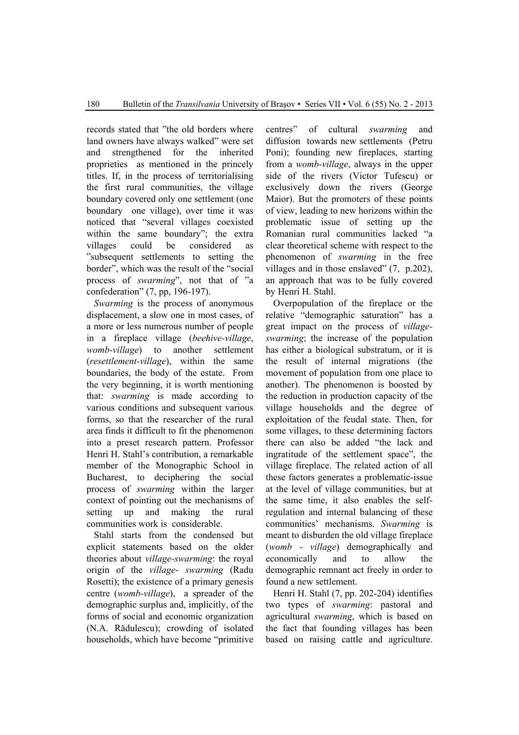records stated that "the old borders where land owners have always walked" were set and strengthened for the inherited proprieties as mentioned in the princely titles. If, in the process of territorialising the first rural communities, the village boundary covered only one settlement (one boundary one village), over time it was noticed that "several villages coexisted within the same boundary"; the extra villages could be considered as "subsequent settlements to setting the border", which was the result of the "social process of *swarming*", not that of "a confederation" (7, pp, 196-197).

*Swarming* is the process of anonymous displacement, a slow one in most cases, of a more or less numerous number of people in a fireplace village (*beehive-village*, *womb-village*) to another settlement (*resettlement-village*), within the same boundaries, the body of the estate. From the very beginning, it is worth mentioning that: *swarming* is made according to various conditions and subsequent various forms, so that the researcher of the rural area finds it difficult to fit the phenomenon into a preset research pattern. Professor Henri H. Stahl's contribution, a remarkable member of the Monographic School in Bucharest, to deciphering the social process of *swarming* within the larger context of pointing out the mechanisms of setting up and making the rural communities work is considerable.

Stahl starts from the condensed but explicit statements based on the older theories about *village-swarming*: the royal origin of the *village*- *swarming* (Radu Rosetti); the existence of a primary genesis centre (*womb-village*), a spreader of the demographic surplus and, implicitly, of the forms of social and economic organization (N.A. Rădulescu); crowding of isolated households, which have become "primitive centres" of cultural *swarming* and diffusion towards new settlements (Petru Poni); founding new fireplaces, starting from a *womb-village*, always in the upper side of the rivers (Victor Tufescu) or exclusively down the rivers (George Maior). But the promoters of these points of view, leading to new horizons within the problematic issue of setting up the Romanian rural communities lacked "a clear theoretical scheme with respect to the phenomenon of *swarming* in the free villages and in those enslaved" (7, p.202), an approach that was to be fully covered by Henri H. Stahl.

Overpopulation of the fireplace or the relative "demographic saturation" has a great impact on the process of *villageswarming*; the increase of the population has either a biological substratum, or it is the result of internal migrations (the movement of population from one place to another). The phenomenon is boosted by the reduction in production capacity of the village households and the degree of exploitation of the feudal state. Then, for some villages, to these determining factors there can also be added "the lack and ingratitude of the settlement space", the village fireplace. The related action of all these factors generates a problematic-issue at the level of village communities, but at the same time, it also enables the selfregulation and internal balancing of these communities' mechanisms. *Swarming* is meant to disburden the old village fireplace (*womb - village*) demographically and economically and to allow the demographic remnant act freely in order to found a new settlement.

Henri H. Stahl (7, pp. 202-204) identifies two types of *swarming*: pastoral and agricultural *swarming*, which is based on the fact that founding villages has been based on raising cattle and agriculture.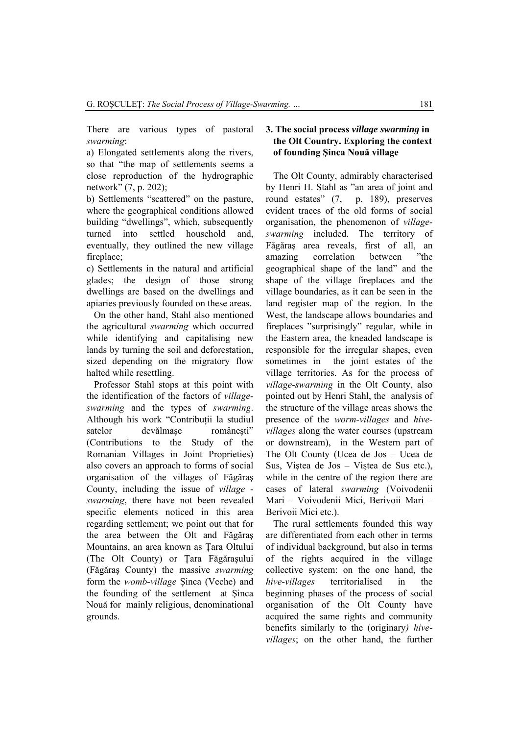There are various types of pastoral *swarming*:

a) Elongated settlements along the rivers, so that "the map of settlements seems a close reproduction of the hydrographic network" (7, p. 202);

b) Settlements "scattered" on the pasture, where the geographical conditions allowed building "dwellings", which, subsequently turned into settled household and, eventually, they outlined the new village fireplace;

c) Settlements in the natural and artificial glades; the design of those strong dwellings are based on the dwellings and apiaries previously founded on these areas.

On the other hand, Stahl also mentioned the agricultural *swarming* which occurred while identifying and capitalising new lands by turning the soil and deforestation, sized depending on the migratory flow halted while resettling.

Professor Stahl stops at this point with the identification of the factors of *villageswarming* and the types of *swarming*. Although his work "Contributii la studiul satelor devălmase românesti" (Contributions to the Study of the Romanian Villages in Joint Proprieties) also covers an approach to forms of social organisation of the villages of Făgăraş County, including the issue of *village swarming*, there have not been revealed specific elements noticed in this area regarding settlement; we point out that for the area between the Olt and Făgăraş Mountains, an area known as Ţara Oltului (The Olt County) or Ţara Făgăraşului (Făgăraş County) the massive *swarming* form the *womb-village* Şinca (Veche) and the founding of the settlement at Şinca Nouă for mainly religious, denominational grounds.

## **3. The social process** *village swarming* **in the Olt Country. Exploring the context of founding Şinca Nouă village**

The Olt County, admirably characterised by Henri H. Stahl as "an area of joint and round estates" (7, p. 189), preserves evident traces of the old forms of social organisation, the phenomenon of *villageswarming* included. The territory of Făgăraş area reveals, first of all, an amazing correlation between "the geographical shape of the land" and the shape of the village fireplaces and the village boundaries, as it can be seen in the land register map of the region. In the West, the landscape allows boundaries and fireplaces "surprisingly" regular, while in the Eastern area, the kneaded landscape is responsible for the irregular shapes, even sometimes in the joint estates of the village territories. As for the process of *village-swarming* in the Olt County, also pointed out by Henri Stahl, the analysis of the structure of the village areas shows the presence of the *worm-villages* and *hivevillages* along the water courses (upstream or downstream), in the Western part of The Olt County (Ucea de Jos – Ucea de Sus, Viştea de Jos – Viştea de Sus etc.), while in the centre of the region there are cases of lateral *swarming* (Voivodenii Mari – Voivodenii Mici, Berivoii Mari – Berivoii Mici etc.).

The rural settlements founded this way are differentiated from each other in terms of individual background, but also in terms of the rights acquired in the village collective system: on the one hand, the *hive-villages* territorialised in the beginning phases of the process of social organisation of the Olt County have acquired the same rights and community benefits similarly to the (originary*) hivevillages*; on the other hand, the further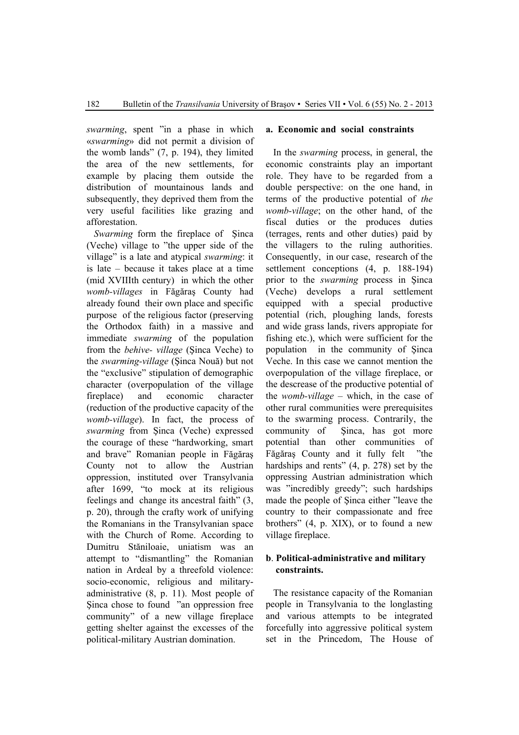*swarming*, spent "in a phase in which «*swarming*» did not permit a division of the womb lands" (7, p. 194), they limited the area of the new settlements, for example by placing them outside the distribution of mountainous lands and subsequently, they deprived them from the very useful facilities like grazing and afforestation.

*Swarming* form the fireplace of Şinca (Veche) village to "the upper side of the village" is a late and atypical *swarming*: it is late – because it takes place at a time (mid XVIIIth century) in which the other *womb-villages* in Făgăraş County had already found their own place and specific purpose of the religious factor (preserving the Orthodox faith) in a massive and immediate *swarming* of the population from the *behive- village* (Şinca Veche) to the *swarming-village* (Şinca Nouă) but not the "exclusive" stipulation of demographic character (overpopulation of the village fireplace) and economic character (reduction of the productive capacity of the *womb-village*). In fact, the process of *swarming* from Şinca (Veche) expressed the courage of these "hardworking, smart and brave" Romanian people in Făgăraş County not to allow the Austrian oppression, instituted over Transylvania after 1699, "to mock at its religious feelings and change its ancestral faith" (3, p. 20), through the crafty work of unifying the Romanians in the Transylvanian space with the Church of Rome. According to Dumitru Stăniloaie, uniatism was an attempt to "dismantling" the Romanian nation in Ardeal by a threefold violence: socio-economic, religious and militaryadministrative (8, p. 11). Most people of Şinca chose to found "an oppression free community" of a new village fireplace getting shelter against the excesses of the political-military Austrian domination.

### **a. Economic and social constraints**

In the *swarming* process, in general, the economic constraints play an important role. They have to be regarded from a double perspective: on the one hand, in terms of the productive potential of *the womb-village*; on the other hand, of the fiscal duties or the produces duties (terrages, rents and other duties) paid by the villagers to the ruling authorities. Consequently, in our case, research of the settlement conceptions (4, p. 188-194) prior to the *swarming* process in Şinca (Veche) develops a rural settlement equipped with a special productive potential (rich, ploughing lands, forests and wide grass lands, rivers appropiate for fishing etc.), which were sufficient for the population in the community of Şinca Veche. In this case we cannot mention the overpopulation of the village fireplace, or the descrease of the productive potential of the *womb-village* – which, in the case of other rural communities were prerequisites to the swarming process. Contrarily, the community of Sinca, has got more potential than other communities of Făgăraş County and it fully felt "the hardships and rents"  $(4, p. 278)$  set by the oppressing Austrian administration which was "incredibly greedy"; such hardships made the people of Şinca either "leave the country to their compassionate and free brothers" (4, p. XIX), or to found a new village fireplace.

## **b**. **Political-administrative and military constraints.**

The resistance capacity of the Romanian people in Transylvania to the longlasting and various attempts to be integrated forcefully into aggressive political system set in the Princedom, The House of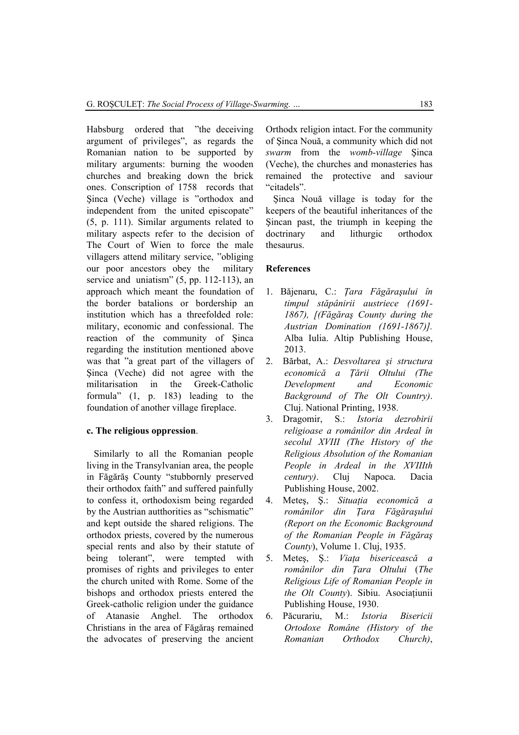Habsburg ordered that "the deceiving argument of privileges", as regards the Romanian nation to be supported by military arguments: burning the wooden churches and breaking down the brick ones. Conscription of 1758 records that Şinca (Veche) village is "orthodox and independent from the united episcopate" (5, p. 111). Similar arguments related to military aspects refer to the decision of The Court of Wien to force the male villagers attend military service, "obliging our poor ancestors obey the military service and uniatism" (5, pp. 112-113), an approach which meant the foundation of the border batalions or bordership an institution which has a threefolded role: military, economic and confessional. The reaction of the community of Şinca regarding the institution mentioned above was that "a great part of the villagers of Şinca (Veche) did not agree with the militarisation in the Greek-Catholic formula" (1, p. 183) leading to the foundation of another village fireplace.

#### **c. The religious oppression**.

Similarly to all the Romanian people living in the Transylvanian area, the people in Făgărăş County "stubbornly preserved their orthodox faith" and suffered painfully to confess it, orthodoxism being regarded by the Austrian autthorities as "schismatic" and kept outside the shared religions. The orthodox priests, covered by the numerous special rents and also by their statute of being tolerant", were tempted with promises of rights and privileges to enter the church united with Rome. Some of the bishops and orthodox priests entered the Greek-catholic religion under the guidance of Atanasie Anghel. The orthodox Christians in the area of Făgăraş remained the advocates of preserving the ancient

Orthodx religion intact. For the community of Şinca Nouă, a community which did not *swarm* from the *womb-village* Şinca (Veche), the churches and monasteries has remained the protective and saviour "citadels".

Şinca Nouă village is today for the keepers of the beautiful inheritances of the Şincan past, the triumph in keeping the doctrinary and lithurgic orthodox thesaurus.

## **References**

- 1. Băjenaru, C.: *Ţara Făgăraşului în timpul stăpânirii austriece (1691- 1867), [(Făgăraş County during the Austrian Domination (1691-1867)].*  Alba Iulia. Altip Publishing House, 2013.
- 2. Bărbat, A.: *Desvoltarea şi structura economică a Ţării Oltului (The Development and Economic Background of The Olt Country)*. Cluj. National Printing, 1938.
- 3. Dragomir, S.: *Istoria dezrobirii religioase a românilor din Ardeal în secolul XVIII (The History of the Religious Absolution of the Romanian People in Ardeal in the XVIIIth century)*. Cluj Napoca. Dacia Publishing House, 2002.
- 4. Meteş, Ş.: *Situaţia economică a românilor din Ţara Făgăraşului (Report on the Economic Background of the Romanian People in Făgăraş County*), Volume 1. Cluj, 1935.
- 5. Meteş, Ş.: *Viaţa bisericească a românilor din Ţara Oltului* (*The Religious Life of Romanian People in the Olt County*). Sibiu. Asociaţiunii Publishing House, 1930.
- 6. Păcurariu, M.: *Istoria Bisericii Ortodoxe Române (History of the Romanian Orthodox Church)*,